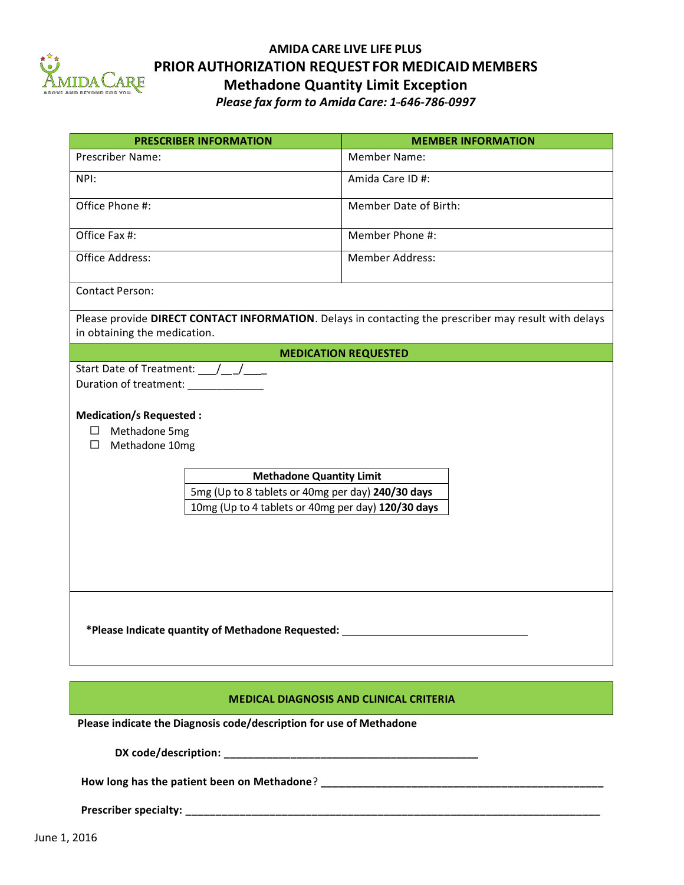

## **AMIDA CARE LIVE LIFE PLUS PRIOR AUTHORIZATION REQUEST FOR MEDICAIDMEMBERS Methadone Quantity Limit Exception**

*Please fax form to Amida Care: 1---646---786---0997*

| <b>PRESCRIBER INFORMATION</b>                                                                                                                                                                                                                                                                                                   | <b>MEMBER INFORMATION</b>   |  |
|---------------------------------------------------------------------------------------------------------------------------------------------------------------------------------------------------------------------------------------------------------------------------------------------------------------------------------|-----------------------------|--|
| <b>Prescriber Name:</b>                                                                                                                                                                                                                                                                                                         | <b>Member Name:</b>         |  |
| NPI:                                                                                                                                                                                                                                                                                                                            | Amida Care ID #:            |  |
|                                                                                                                                                                                                                                                                                                                                 |                             |  |
| Office Phone #:                                                                                                                                                                                                                                                                                                                 | Member Date of Birth:       |  |
| Office Fax #:                                                                                                                                                                                                                                                                                                                   | Member Phone #:             |  |
| Office Address:                                                                                                                                                                                                                                                                                                                 | <b>Member Address:</b>      |  |
| <b>Contact Person:</b>                                                                                                                                                                                                                                                                                                          |                             |  |
| Please provide DIRECT CONTACT INFORMATION. Delays in contacting the prescriber may result with delays<br>in obtaining the medication.                                                                                                                                                                                           |                             |  |
|                                                                                                                                                                                                                                                                                                                                 | <b>MEDICATION REQUESTED</b> |  |
| Start Date of Treatment: / /<br>Duration of treatment: ____________<br><b>Medication/s Requested:</b><br>Methadone 5mg<br>$\mathcal{L}_{\mathcal{A}}$<br>$\Box$<br>Methadone 10mg<br><b>Methadone Quantity Limit</b><br>5mg (Up to 8 tablets or 40mg per day) 240/30 days<br>10mg (Up to 4 tablets or 40mg per day) 120/30 days |                             |  |
| *Please Indicate quantity of Methadone Requested:                                                                                                                                                                                                                                                                               |                             |  |
| <b>MEDICAL DIAGNOSIS AND CLINICAL CRITERIA</b>                                                                                                                                                                                                                                                                                  |                             |  |
| Please indicate the Diagnosis code/description for use of Methadone                                                                                                                                                                                                                                                             |                             |  |
| DX code/description:                                                                                                                                                                                                                                                                                                            |                             |  |

**How long has the patient been on Methadone**? **\_\_\_\_\_\_\_\_\_\_\_\_\_\_\_\_\_\_\_\_\_\_\_\_\_\_\_\_\_\_\_\_\_\_\_\_\_\_\_\_\_\_\_\_\_\_\_**

**Prescriber specialty: \_\_\_\_\_\_\_\_\_\_\_\_\_\_\_\_\_\_\_\_\_\_\_\_\_\_\_\_\_\_\_\_\_\_\_\_\_\_\_\_\_\_\_\_\_\_\_\_\_\_\_\_\_\_\_\_\_\_\_\_\_\_\_\_\_\_\_\_\_**